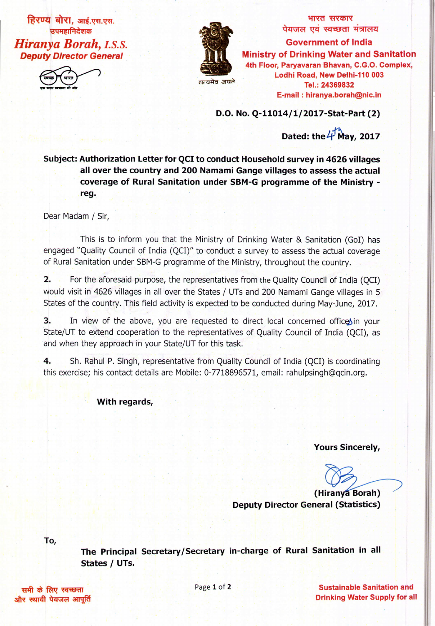**हिरण्य बोरा, आई.एस.एस.** उपमहानिदेशक

*Hiranya Borah, I.S.S. Deputy Director General*



**~ ti\(Cl>I\(** <u>पेयजल एव स्वच्छता मत्रालय</u> **Government of India Miriistry of Drinking Water and Sanitation 4th Floor, Paryavaran Bhavan, C.G.O. Complex, Lodhi Road, New Defhi-110 003 Tel.: 24369832 E-mail: hiranya.borah@nic.in**

**D.O. No. Q-11014/1/2017-Stat-Part(2)**

**Dated: the 4 May, 2017** 

**Subject: Authorization Letter for QCI to conduct Household survey in 4626 villages all over the country and 200 Namami Gange villages to assess the actual coverage of Rural Sanitation under SBM-G programme of the Ministry reg.**

Dear Madam*j* Sir,

This is to inform you that the Ministry of Drinking Water & Sanitation (GoI) has engaged "Quality Council of India (QCI)" to conduct a survey to assess the actual coverage of Rural Sanitation under SBM-G programme of the Ministry, throughout the country.

**2.** For the aforesaid purpose, the representatives from the Quality Council of India (QCI) would visit in 4626 villages in all over the States / UTs and 200 Namami Gange villages in 5 States of the country. This field activity is expected to be conducted during May-June, 2017.

**3.** In view of the above, you are requested to direct local concerned office in your State/UT to extend cooperation to the representatives of Quality Council of India (QCI), as and when they approach in your State/UT for this task.

**4.** Sh. Rahul P. Singh, representative from Quality Council of India (QCI) is coordinating this exercise; his contact details are Mobile: 0-7718896571, email: rahulpsingh@qcin.org.

**With regards,**

**Yours Sincerely,**

**(Hiran Borah) Deputy Director General (Statistics)**

**To,**

**The Principal Secretary/Secretary in-charge of Rural Sanitation in all States / UTs.**

<sup>I</sup> '